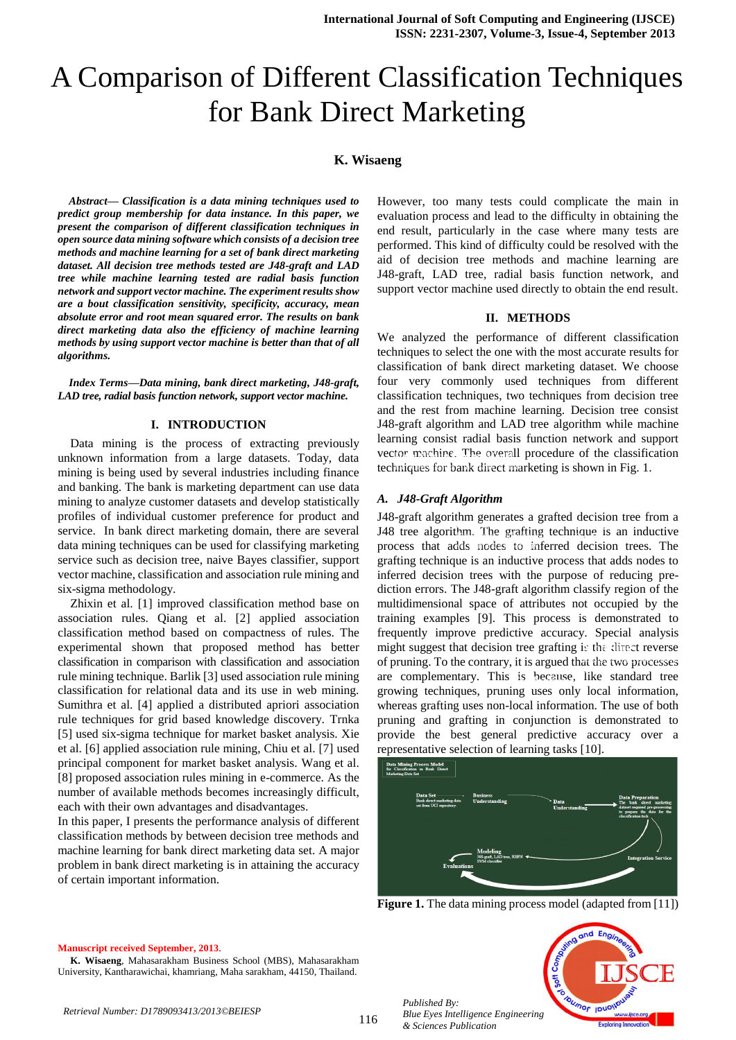# A Comparison of Different Classification Techniques for Bank Direct Marketing

# **K. Wisaeng**

*Abstract— Classification is a data mining techniques used to predict group membership for data instance. In this paper, we present the comparison of different classification techniques in open source data mining software which consists of a decision tree methods and machine learning for a set of bank direct marketing dataset. All decision tree methods tested are J48-graft and LAD tree while machine learning tested are radial basis function network and support vector machine. The experiment results show are a bout classification sensitivity, specificity, accuracy, mean absolute error and root mean squared error. The results on bank direct marketing data also the efficiency of machine learning methods by using support vector machine is better than that of all algorithms.*

*Index Terms—Data mining, bank direct marketing, J48-graft, LAD tree, radial basis function network, support vector machine.*

## **I. INTRODUCTION**

 Data mining is the process of extracting previously unknown information from a large datasets. Today, data mining is being used by several industries including finance and banking. The bank is marketing department can use data mining to analyze customer datasets and develop statistically profiles of individual customer preference for product and service. In bank direct marketing domain, there are several data mining techniques can be used for classifying marketing service such as decision tree, naive Bayes classifier, support vector machine, classification and association rule mining and six-sigma methodology.

Zhixin et al. [1] improved classification method base on association rules. Qiang et al. [2] applied association classification method based on compactness of rules. The experimental shown that proposed method has better classification in comparison with classification and association rule mining technique. Barlik [3] used association rule mining classification for relational data and its use in web mining. Sumithra et al. [4] applied a distributed apriori association rule techniques for grid based knowledge discovery. Trnka [5] used six-sigma technique for market basket analysis. Xie et al. [6] applied association rule mining, Chiu et al. [7] used principal component for market basket analysis. Wang et al. [8] proposed association rules mining in e-commerce. As the number of available methods becomes increasingly difficult, each with their own advantages and disadvantages.

In this paper, I presents the performance analysis of different classification methods by between decision tree methods and machine learning for bank direct marketing data set. A major problem in bank direct marketing is in attaining the accuracy of certain important information.

However, too many tests could complicate the main in evaluation process and lead to the difficulty in obtaining the end result, particularly in the case where many tests are performed. This kind of difficulty could be resolved with the aid of decision tree methods and machine learning are J48-graft, LAD tree, radial basis function network, and support vector machine used directly to obtain the end result.

#### **II. METHODS**

We analyzed the performance of different classification techniques to select the one with the most accurate results for classification of bank direct marketing dataset. We choose four very commonly used techniques from different classification techniques, two techniques from decision tree and the rest from machine learning. Decision tree consist J48-graft algorithm and LAD tree algorithm while machine learning consist radial basis function network and support vector machine. The overall procedure of the classification techniques for bank direct marketing is shown in Fig. 1. Marketing Data Set

### *A. J48-Graft Algorithm*

J48-graft algorithm generates a grafted decision tree from a J48 tree algorithm. The grafting technique is an inductive process that adds nodes to inferred decision trees. The grafting technique is an inductive process that adds nodes to inferred decision trees with the purpose of reducing prediction errors. The J48-graft algorithm classify region of the multidimensional space of attributes not occupied by the training examples [9]. This process is demonstrated to frequently improve predictive accuracy. Special analysis might suggest that decision tree grafting is the direct reverse of pruning. To the contrary, it is argued that the two processes are complementary. This is because, like standard tree growing techniques, pruning uses only local information, whereas grafting uses non-local information. The use of both pruning and grafting in conjunction is demonstrated to provide the best general predictive accuracy over a representative selection of learning tasks [10]. ant, the gratung **Business Understanding** 



**Figure 1.** The data mining process model (adapted from [11])

#### **Manuscript received September, 2013**.

**K. Wisaeng**, Mahasarakham Business School (MBS), Mahasarakham University, Kantharawichai, khamriang, Maha sarakham, 44150, Thailand.

*Retrieval Number: D1789093413/2013©BEIESP*

*Published By: Blue Eyes Intelligence Engineering & Sciences Publication* 

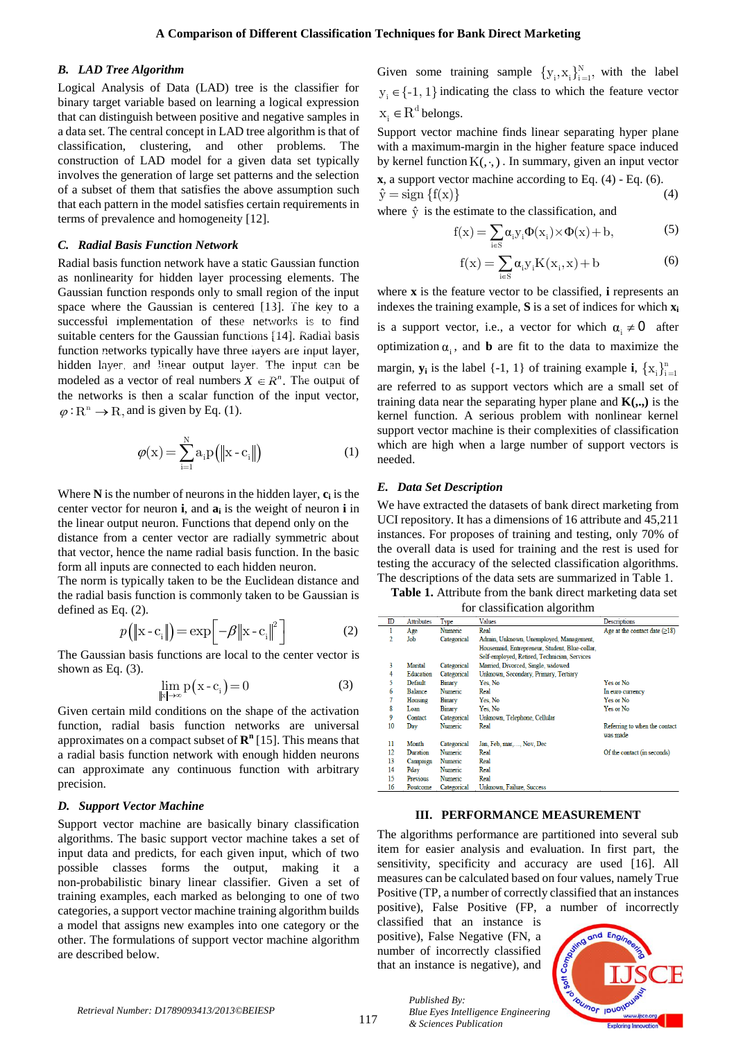## *B. LAD Tree Algorithm*

Logical Analysis of Data (LAD) tree is the classifier for binary target variable based on learning a logical expression that can distinguish between positive and negative samples in a data set. The central concept in LAD tree algorithm is that of classification, clustering, and other problems. The construction of LAD model for a given data set typically involves the generation of large set patterns and the selection of a subset of them that satisfies the above assumption such that each pattern in the model satisfies certain requirements in terms of prevalence and homogeneity [12].

## *C. Radial Basis Function Network*

Radial basis function network have a static Gaussian function as nonlinearity for hidden layer processing elements. The Gaussian function responds only to small region of the input space where the Gaussian is centered [13]. The key to a successful implementation of these networks is to find succession implementation of these networks to the find suitable centers for the Gaussian functions [14]. Radial basis function networks typically have three layers are input layer, hidden layer, and linear output layer. The input can be modeled as a vector of real numbers  $X \in \mathbb{R}^n$ . The output of the networks is then a scalar function of the input vector,  $\varphi : \mathbb{R}^n \to \mathbb{R}$ , and is given by Eq. (1).  $\frac{1}{2}$  and  $\frac{1}{2}$  increased may be **Data Data Preparation**  $\frac{1}{2}$ iyer. Ine input can

$$
\varphi(\mathbf{x}) = \sum_{i=1}^{N} a_i p\left(\|\mathbf{x} - \mathbf{c}_i\|\right) \tag{1}
$$

Where **N** is the number of neurons in the hidden layer, **c<sup>i</sup>** is the center vector for neuron **i**, and **a<sup>i</sup>** is the weight of neuron **i** in the linear output neuron. Functions that depend only on the distance from a center vector are radially symmetric about that vector, hence the name radial basis function. In the basic form all inputs are connected to each hidden neuron.

The norm is typically taken to be the Euclidean distance and the radial basis function is commonly taken to be Gaussian is defined as Eq. (2).

$$
p(\|\mathbf{x} - \mathbf{c}_i\|) = \exp\left[-\beta \|\mathbf{x} - \mathbf{c}_i\|^2\right]
$$
 (2)

The Gaussian basis functions are local to the center vector is shown as Eq.  $(3)$ .

$$
\lim_{\|x\| \to \infty} p(x - c_i) = 0 \tag{3}
$$

Given certain mild conditions on the shape of the activation function, radial basis function networks are universal approximates on a compact subset of **R n** [15]. This means that a radial basis function network with enough hidden neurons can approximate any continuous function with arbitrary precision.

#### *D. Support Vector Machine*

Support vector machine are basically binary classification algorithms. The basic support vector machine takes a set of input data and predicts, for each given input, which of two possible classes forms the output, making it a non-probabilistic binary linear classifier. Given a set of training examples, each marked as belonging to one of two categories, a support vector machine training algorithm builds a model that assigns new examples into one category or the other. The formulations of support vector machine algorithm are described below.

Given some training sample  $\{y_i, x_i\}_{i=1}^N$ , with the label  $y_i \in \{-1, 1\}$  indicating the class to which the feature vector  $x_i \in R^d$  belongs.

Support vector machine finds linear separating hyper plane with a maximum-margin in the higher feature space induced by kernel function  $K(.,.)$ . In summary, given an input vector **x**, a support vector machine according to Eq. (4) - Eq. (6).  $\hat{y} = \text{sign} \{f(x)\}\$  (4)

where 
$$
\hat{y}
$$
 is the estimate to the classification, and  
\n
$$
f(x) = \sum_{i \in S} \alpha_i y_i \Phi(x_i) \times \Phi(x) + b,
$$
\n(5)

$$
f(x) = \sum_{i \in S} \alpha_i y_i K(x_i, x) + b \tag{6}
$$

where **x** is the feature vector to be classified, **i** represents an indexes the training example, **S** is a set of indices for which **x<sup>i</sup>** is a support vector, i.e., a vector for which  $\alpha_i \neq 0$  after optimization  $\alpha_i$ , and **b** are fit to the data to maximize the margin,  $\mathbf{y}_i$  is the label {-1, 1} of training example **i**,  $\{x_i\}_{i=1}^n$ are referred to as support vectors which are a small set of training data near the separating hyper plane and  $K(.,.)$  is the kernel function. A serious problem with nonlinear kernel support vector machine is their complexities of classification which are high when a large number of support vectors is needed.

## *E. Data Set Description*

We have extracted the datasets of bank direct marketing from UCI repository. It has a dimensions of 16 attribute and 45,211 instances. For proposes of training and testing, only 70% of the overall data is used for training and the rest is used for testing the accuracy of the selected classification algorithms. The descriptions of the data sets are summarized in Table 1.

**Table 1.** Attribute from the bank direct marketing data set

| for classification algorithm |  |
|------------------------------|--|
|                              |  |

|    |                   |                | ັ                                              |                                     |
|----|-------------------|----------------|------------------------------------------------|-------------------------------------|
| ID | <b>Attributes</b> | Type           | <b>Values</b>                                  | Descriptions                        |
| 1  | Age               | Numeric        | Real                                           | Age at the contact date $(\geq 18)$ |
| 2  | Job               | Categorical    | Admin, Unknown, Unemployed, Management,        |                                     |
|    |                   |                | Housemaid, Entrepreneur, Student, Blue-collar, |                                     |
|    |                   |                | Self-employed, Retired, Technician, Services   |                                     |
| 3  | Marital           | Categorical    | Married, Divorced, Single, widowed             |                                     |
| 4  | Education         | Categorical    | Unknown, Secondary, Primary, Tertiary          |                                     |
| 5  | Default           | <b>Binary</b>  | Yes, No                                        | Yes or No                           |
| 6  | <b>Balance</b>    | Numeric        | Real                                           | In euro currency                    |
| 7  | Housing           | Binary         | Yes, No                                        | Yes or No                           |
| 8  | Loan              | Binary         | Yes. No                                        | Yes or No                           |
| 9  | Contact           | Categorical    | Unknown, Telephone, Cellular                   |                                     |
| 10 | Day               | Numeric        | Real                                           | Referring to when the contact       |
|    |                   |                |                                                | was made                            |
| 11 | Month             | Categorical    | Jan, Feb, mar,, Nov, Dec                       |                                     |
| 12 | Duration          | <b>Numeric</b> | Real                                           | Of the contact (in seconds)         |
| 13 | Campaign          | Numeric        | Real                                           |                                     |
| 14 | Pday              | Numeric        | <b>Real</b>                                    |                                     |
| 15 | Previous          | <b>Numeric</b> | Real                                           |                                     |
| 16 | Poutcome          | Categorical    | Unknown, Failure, Success                      |                                     |
|    |                   |                |                                                |                                     |

#### **III. PERFORMANCE MEASUREMENT**

The algorithms performance are partitioned into several sub item for easier analysis and evaluation. In first part, the sensitivity, specificity and accuracy are used [16]. All measures can be calculated based on four values, namely True Positive (TP, a number of correctly classified that an instances positive), False Positive (FP, a number of incorrectly

classified that an instance is positive), False Negative (FN, a number of incorrectly classified that an instance is negative), and



*Retrieval Number: D1789093413/2013©BEIESP*

*Published By: Blue Eyes Intelligence Engineering & Sciences Publication*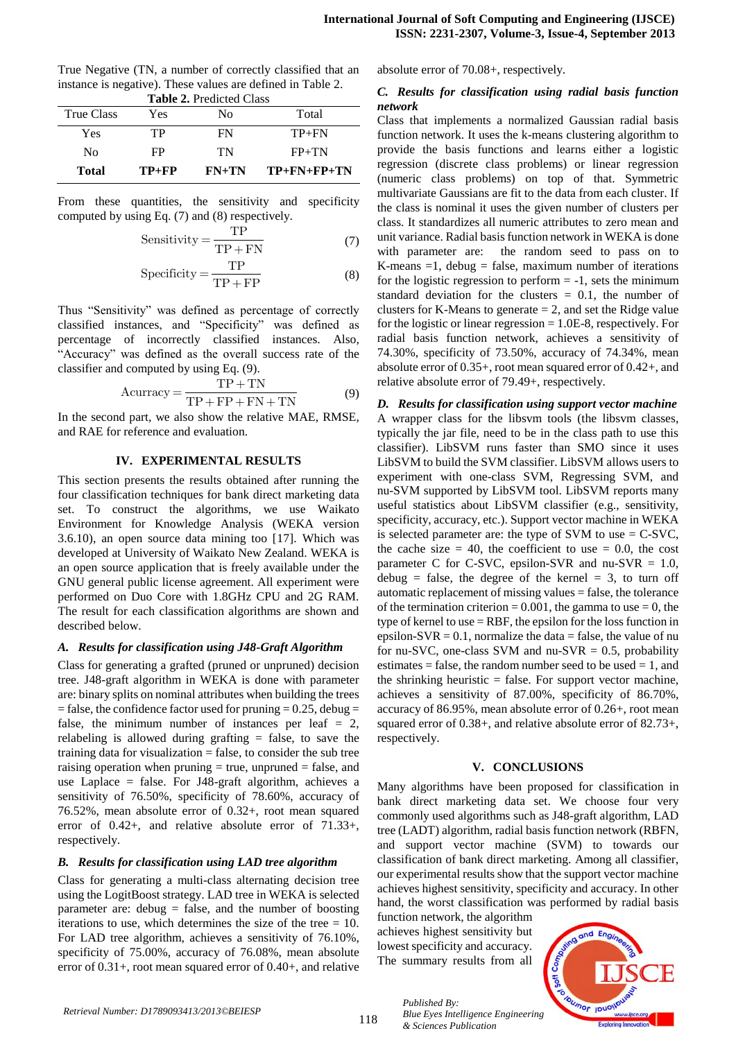| <b>Table 2. Predicted Class</b> |         |         |                     |  |
|---------------------------------|---------|---------|---------------------|--|
| True Class                      | Yes     | Nο      | Total               |  |
| Yes                             | TP.     | FN      | $TP+FN$             |  |
| Nο                              | FP      | TN      | $FP+TN$             |  |
| Total                           | $TP+FP$ | $FN+TN$ | $TP + FN + FP + TN$ |  |

True Negative (TN, a number of correctly classified that an instance is negative). These values are defined in Table 2.

From these quantities, the sensitivity and specificity computed by using Eq. (7) and (8) respectively.

$$
Sensitivity = \frac{TP}{TP + FN}
$$
 (7)

$$
Specificity = \frac{TP}{TP + FP}
$$
 (8)

Thus "Sensitivity" was defined as percentage of correctly classified instances, and "Specificity" was defined as percentage of incorrectly classified instances. Also, "Accuracy" was defined as the overall success rate of the classifier and computed by using Eq. (9).

$$
A \text{curracy} = \frac{\text{TP} + \text{TN}}{\text{TP} + \text{FP} + \text{FN} + \text{TN}} \tag{9}
$$

In the second part, we also show the relative MAE, RMSE, and RAE for reference and evaluation.

# **IV. EXPERIMENTAL RESULTS**

This section presents the results obtained after running the four classification techniques for bank direct marketing data set. To construct the algorithms, we use Waikato Environment for Knowledge Analysis (WEKA version 3.6.10), an open source data mining too [17]. Which was developed at University of Waikato New Zealand. WEKA is an open source application that is freely available under the GNU general public license agreement. All experiment were performed on Duo Core with 1.8GHz CPU and 2G RAM. The result for each classification algorithms are shown and described below.

# *A. Results for classification using J48-Graft Algorithm*

Class for generating a grafted (pruned or unpruned) decision tree. J48-graft algorithm in WEKA is done with parameter are: binary splits on nominal attributes when building the trees  $=$  false, the confidence factor used for pruning  $= 0.25$ , debug  $=$ false, the minimum number of instances per leaf  $= 2$ , relabeling is allowed during grafting = false, to save the training data for visualization = false, to consider the sub tree raising operation when pruning  $=$  true, unpruned  $=$  false, and use Laplace = false. For J48-graft algorithm, achieves a sensitivity of 76.50%, specificity of 78.60%, accuracy of 76.52%, mean absolute error of 0.32+, root mean squared error of 0.42+, and relative absolute error of 71.33+, respectively.

# *B. Results for classification using LAD tree algorithm*

Class for generating a multi-class alternating decision tree using the LogitBoost strategy. LAD tree in WEKA is selected parameter are: debug = false, and the number of boosting iterations to use, which determines the size of the tree = 10. For LAD tree algorithm, achieves a sensitivity of 76.10%, specificity of 75.00%, accuracy of 76.08%, mean absolute error of 0.31+, root mean squared error of 0.40+, and relative absolute error of 70.08+, respectively.

# *C. Results for classification using radial basis function network*

Class that implements a normalized Gaussian radial basis function network. It uses the k-means clustering algorithm to provide the basis functions and learns either a logistic regression (discrete class problems) or linear regression (numeric class problems) on top of that. Symmetric multivariate Gaussians are fit to the data from each cluster. If the class is nominal it uses the given number of clusters per class. It standardizes all numeric attributes to zero mean and unit variance. Radial basis function network in WEKA is done with parameter are: the random seed to pass on to K-means  $=1$ , debug = false, maximum number of iterations for the logistic regression to perform  $= -1$ , sets the minimum standard deviation for the clusters  $= 0.1$ , the number of clusters for K-Means to generate  $= 2$ , and set the Ridge value for the logistic or linear regression  $= 1.0E-8$ , respectively. For radial basis function network, achieves a sensitivity of 74.30%, specificity of 73.50%, accuracy of 74.34%, mean absolute error of 0.35+, root mean squared error of 0.42+, and relative absolute error of 79.49+, respectively.

*D. Results for classification using support vector machine*  A wrapper class for the libsvm tools (the libsvm classes, typically the jar file, need to be in the class path to use this classifier). LibSVM runs faster than SMO since it uses LibSVM to build the SVM classifier. LibSVM allows users to experiment with one-class SVM, Regressing SVM, and nu-SVM supported by LibSVM tool. LibSVM reports many useful statistics about LibSVM classifier (e.g., sensitivity, specificity, accuracy, etc.). Support vector machine in WEKA is selected parameter are: the type of SVM to use  $= C$ -SVC, the cache size  $= 40$ , the coefficient to use  $= 0.0$ , the cost parameter C for C-SVC, epsilon-SVR and nu-SVR  $= 1.0$ , debug = false, the degree of the kernel = 3, to turn off automatic replacement of missing values = false, the tolerance of the termination criterion =  $0.001$ , the gamma to use = 0, the type of kernel to use  $=$  RBF, the epsilon for the loss function in epsilon-SVR =  $0.1$ , normalize the data = false, the value of nu for nu-SVC, one-class SVM and nu-SVR  $= 0.5$ , probability estimates  $=$  false, the random number seed to be used  $= 1$ , and the shrinking heuristic  $=$  false. For support vector machine, achieves a sensitivity of 87.00%, specificity of 86.70%, accuracy of 86.95%, mean absolute error of 0.26+, root mean squared error of 0.38+, and relative absolute error of 82.73+, respectively.

## **V. CONCLUSIONS**

Many algorithms have been proposed for classification in bank direct marketing data set. We choose four very commonly used algorithms such as J48-graft algorithm, LAD tree (LADT) algorithm, radial basis function network (RBFN, and support vector machine (SVM) to towards our classification of bank direct marketing. Among all classifier, our experimental results show that the support vector machine achieves highest sensitivity, specificity and accuracy. In other hand, the worst classification was performed by radial basis

function network, the algorithm achieves highest sensitivity but lowest specificity and accuracy. The summary results from all

*Published By:*

*& Sciences Publication*